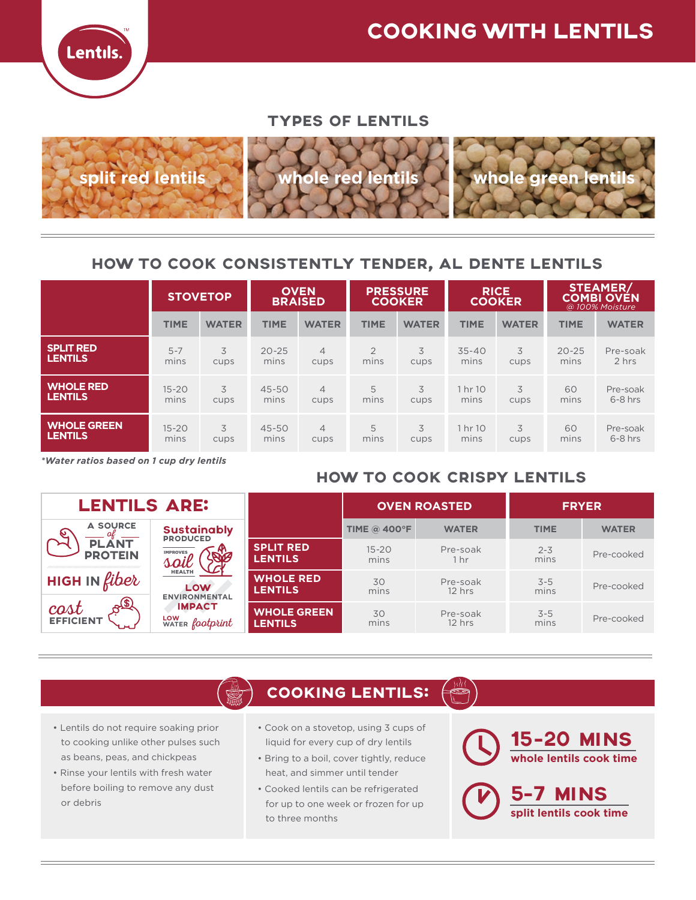

#### TYPES OF LENTILS



### HOW TO COOK CONSISTENTLY TENDER, AL DENTE LENTILS

|                    | <b>STOVETOP</b> |              | <b>OVEN</b><br><b>BRAISED</b> |                | <b>PRESSURE</b><br><b>COOKER</b> |              | <b>RICE</b><br><b>COOKER</b> |              | STEAMER/<br><b>COMBI OVEN</b><br>@ 100% Moisture |              |
|--------------------|-----------------|--------------|-------------------------------|----------------|----------------------------------|--------------|------------------------------|--------------|--------------------------------------------------|--------------|
|                    | <b>TIME</b>     | <b>WATER</b> | <b>TIME</b>                   | <b>WATER</b>   | <b>TIME</b>                      | <b>WATER</b> | <b>TIME</b>                  | <b>WATER</b> | <b>TIME</b>                                      | <b>WATER</b> |
| <b>SPLIT RED</b>   | $5 - 7$         | 3            | $20 - 25$                     | $\overline{4}$ | $\overline{2}$                   | 3            | $35 - 40$                    | 3            | $20 - 25$                                        | Pre-soak     |
| <b>LENTILS</b>     | mins            | cups         | mins                          | cups           | mins                             | cups         | mins                         | cups         | mins                                             | 2 hrs        |
| <b>WHOLE RED</b>   | $15 - 20$       | 3            | 45-50                         | $\overline{4}$ | 5                                | 3            | 1 hr 10                      | 3            | 60                                               | Pre-soak     |
| <b>LENTILS</b>     | mins            | cups         | mins                          | cups           | mins                             | cups         | mins                         | cups         | mins                                             | $6 - 8$ hrs  |
| <b>WHOLE GREEN</b> | $15 - 20$       | 3            | 45-50                         | $\overline{4}$ | 5                                | 3            | 1 hr 10                      | 3            | 60                                               | Pre-soak     |
| <b>LENTILS</b>     | mins            | cups         | mins                          | cups           | mins                             | cups         | mins                         | cups         | mins                                             | $6 - 8$ hrs  |

*\*Water ratios based on 1 cup dry lentils*

## HOW TO COOK CRISPY LENTILS

| <b>LENTILS ARE:</b>                      |                                                |                                      |                     | <b>OVEN ROASTED</b>  | <b>FRYER</b>    |              |  |
|------------------------------------------|------------------------------------------------|--------------------------------------|---------------------|----------------------|-----------------|--------------|--|
| <b>A SOURCE</b><br>$\boldsymbol{\omega}$ | <b>Sustainably</b><br><b>PRODUCED</b>          |                                      | <b>TIME @ 400°F</b> | <b>WATER</b>         | <b>TIME</b>     | <b>WATER</b> |  |
| <b>PLANT</b><br><b>PROTEIN</b>           | <b>IMPROVES</b>                                | <b>SPLIT RED</b><br><b>LENTILS</b>   | $15 - 20$<br>mins   | Pre-soak<br>1 hr     | $2 - 3$<br>mins | Pre-cooked   |  |
| <b>HIGH IN fiber</b>                     | <b>HEALTH</b><br>LOW<br><b>ENVIRONMENTAL</b>   | <b>WHOLE RED</b><br><b>LENTILS</b>   | 30<br>mins          | Pre-soak<br>$12$ hrs | $3 - 5$<br>mins | Pre-cooked   |  |
| $A^{(s)}$<br>cost <sub>EFFICIENT</sub>   | <b>IMPACT</b><br>LOW<br>WATER <i>footprint</i> | <b>WHOLE GREEN</b><br><b>LENTILS</b> | 30<br>mins          | Pre-soak<br>$12$ hrs | $3 - 5$<br>mins | Pre-cooked   |  |

## COOKING LENTILS:

- Lentils do not require soaking prior to cooking unlike other pulses such as beans, peas, and chickpeas
- Rinse your lentils with fresh water before boiling to remove any dust or debris
- Cook on a stovetop, using 3 cups of liquid for every cup of dry lentils
- Bring to a boil, cover tightly, reduce heat, and simmer until tender
- Cooked lentils can be refrigerated for up to one week or frozen for up to three months